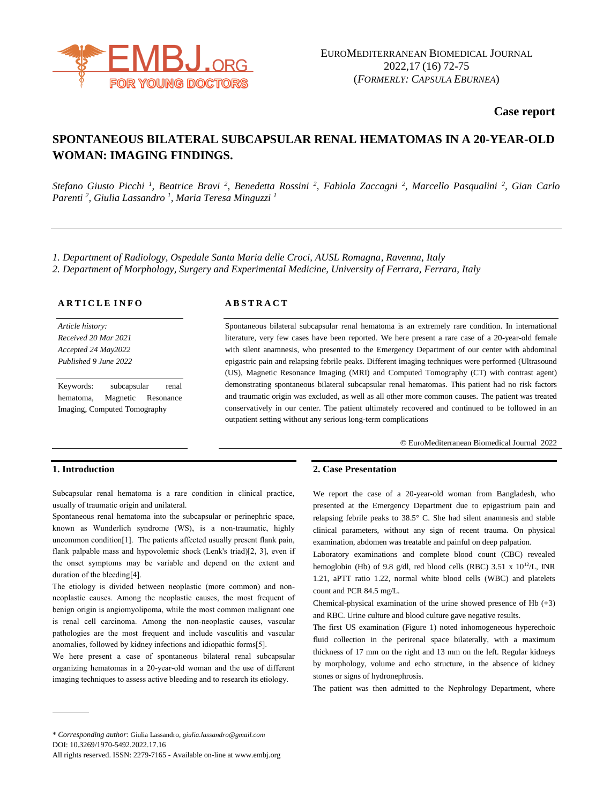

**Case report**

# **SPONTANEOUS BILATERAL SUBCAPSULAR RENAL HEMATOMAS IN A 20-YEAR-OLD WOMAN: IMAGING FINDINGS.**

Stefano Giusto Picchi<sup>1</sup>, Beatrice Bravi<sup>2</sup>, Benedetta Rossini<sup>2</sup>, Fabiola Zaccagni<sup>2</sup>, Marcello Pasqualini<sup>2</sup>, Gian Carlo *Parenti <sup>2</sup> , Giulia Lassandro <sup>1</sup> , Maria Teresa Minguzzi <sup>1</sup>*

*1. Department of Radiology, Ospedale Santa Maria delle Croci, AUSL Romagna, Ravenna, Italy 2. Department of Morphology, Surgery and Experimental Medicine, University of Ferrara, Ferrara, Italy*

**A R T I C L E I N F O**

*Article history: Received 20 Mar 2021 Accepted 24 May2022 Published 9 June 2022*

Keywords: subcapsular renal hematoma, Magnetic Resonance Imaging, Computed Tomography

### **A B S T R A C T**

Spontaneous bilateral subcapsular renal hematoma is an extremely rare condition. In international literature, very few cases have been reported. We here present a rare case of a 20-year-old female with silent anamnesis, who presented to the Emergency Department of our center with abdominal epigastric pain and relapsing febrile peaks. Different imaging techniques were performed (Ultrasound (US), Magnetic Resonance Imaging (MRI) and Computed Tomography (CT) with contrast agent) demonstrating spontaneous bilateral subcapsular renal hematomas. This patient had no risk factors and traumatic origin was excluded, as well as all other more common causes. The patient was treated conservatively in our center. The patient ultimately recovered and continued to be followed in an outpatient setting without any serious long-term complications

© EuroMediterranean Biomedical Journal 2022

# **1. Introduction**

Subcapsular renal hematoma is a rare condition in clinical practice, usually of traumatic origin and unilateral.

Spontaneous renal hematoma into the subcapsular or perinephric space, known as Wunderlich syndrome (WS), is a non-traumatic, highly uncommon condition[1]. The patients affected usually present flank pain, flank palpable mass and hypovolemic shock (Lenk's triad)[2, 3], even if the onset symptoms may be variable and depend on the extent and duration of the bleeding[4].

The etiology is divided between neoplastic (more common) and nonneoplastic causes. Among the neoplastic causes, the most frequent of benign origin is angiomyolipoma, while the most common malignant one is renal cell carcinoma. Among the non-neoplastic causes, vascular pathologies are the most frequent and include vasculitis and vascular anomalies, followed by kidney infections and idiopathic forms[5].

We here present a case of spontaneous bilateral renal subcapsular organizing hematomas in a 20-year-old woman and the use of different imaging techniques to assess active bleeding and to research its etiology.

# **2. Case Presentation**

We report the case of a 20-year-old woman from Bangladesh, who presented at the Emergency Department due to epigastrium pain and relapsing febrile peaks to 38.5° C. She had silent anamnesis and stable clinical parameters, without any sign of recent trauma. On physical examination, abdomen was treatable and painful on deep palpation.

Laboratory examinations and complete blood count (CBC) revealed hemoglobin (Hb) of 9.8 g/dl, red blood cells (RBC) 3.51 x  $10^{12}$ /L, INR 1.21, aPTT ratio 1.22, normal white blood cells (WBC) and platelets count and PCR 84.5 mg/L.

Chemical-physical examination of the urine showed presence of Hb (+3) and RBC. Urine culture and blood culture gave negative results.

The first US examination (Figure 1) noted inhomogeneous hyperechoic fluid collection in the perirenal space bilaterally, with a maximum thickness of 17 mm on the right and 13 mm on the left. Regular kidneys by morphology, volume and echo structure, in the absence of kidney stones or signs of hydronephrosis.

The patient was then admitted to the Nephrology Department, where

<sup>\*</sup> *Corresponding author*: Giulia Lassandro, *giulia.lassandro@gmail.com* DOI: 10.3269/1970-5492.2022.17.16

All rights reserved. ISSN: 2279-7165 - Available on-line at www.embj.org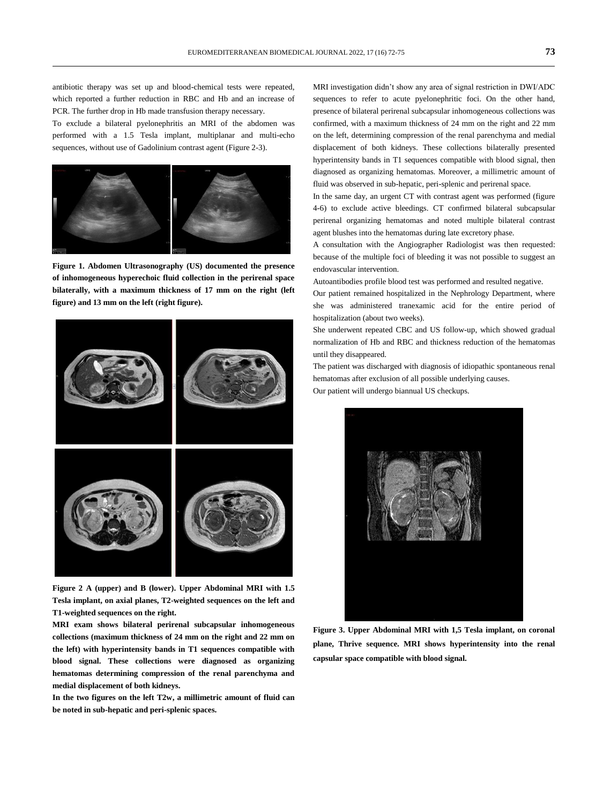antibiotic therapy was set up and blood-chemical tests were repeated, which reported a further reduction in RBC and Hb and an increase of PCR. The further drop in Hb made transfusion therapy necessary.

To exclude a bilateral pyelonephritis an MRI of the abdomen was performed with a 1.5 Tesla implant, multiplanar and multi-echo sequences, without use of Gadolinium contrast agent (Figure 2-3).



**Figure 1. Abdomen Ultrasonography (US) documented the presence of inhomogeneous hyperechoic fluid collection in the perirenal space bilaterally, with a maximum thickness of 17 mm on the right (left figure) and 13 mm on the left (right figure).**



**Figure 2 A (upper) and B (lower). Upper Abdominal MRI with 1.5 Tesla implant, on axial planes, T2-weighted sequences on the left and T1-weighted sequences on the right.**

**MRI exam shows bilateral perirenal subcapsular inhomogeneous collections (maximum thickness of 24 mm on the right and 22 mm on the left) with hyperintensity bands in T1 sequences compatible with blood signal. These collections were diagnosed as organizing hematomas determining compression of the renal parenchyma and medial displacement of both kidneys.** 

**In the two figures on the left T2w, a millimetric amount of fluid can be noted in sub-hepatic and peri-splenic spaces.**

MRI investigation didn't show any area of signal restriction in DWI/ADC sequences to refer to acute pyelonephritic foci. On the other hand, presence of bilateral perirenal subcapsular inhomogeneous collections was confirmed, with a maximum thickness of 24 mm on the right and 22 mm on the left, determining compression of the renal parenchyma and medial displacement of both kidneys. These collections bilaterally presented hyperintensity bands in T1 sequences compatible with blood signal, then diagnosed as organizing hematomas. Moreover, a millimetric amount of fluid was observed in sub-hepatic, peri-splenic and perirenal space.

In the same day, an urgent CT with contrast agent was performed (figure 4-6) to exclude active bleedings. CT confirmed bilateral subcapsular perirenal organizing hematomas and noted multiple bilateral contrast agent blushes into the hematomas during late excretory phase.

A consultation with the Angiographer Radiologist was then requested: because of the multiple foci of bleeding it was not possible to suggest an endovascular intervention.

Autoantibodies profile blood test was performed and resulted negative.

Our patient remained hospitalized in the Nephrology Department, where she was administered tranexamic acid for the entire period of hospitalization (about two weeks).

She underwent repeated CBC and US follow-up, which showed gradual normalization of Hb and RBC and thickness reduction of the hematomas until they disappeared.

The patient was discharged with diagnosis of idiopathic spontaneous renal hematomas after exclusion of all possible underlying causes.

Our patient will undergo biannual US checkups.



**Figure 3. Upper Abdominal MRI with 1,5 Tesla implant, on coronal plane, Thrive sequence. MRI shows hyperintensity into the renal capsular space compatible with blood signal.**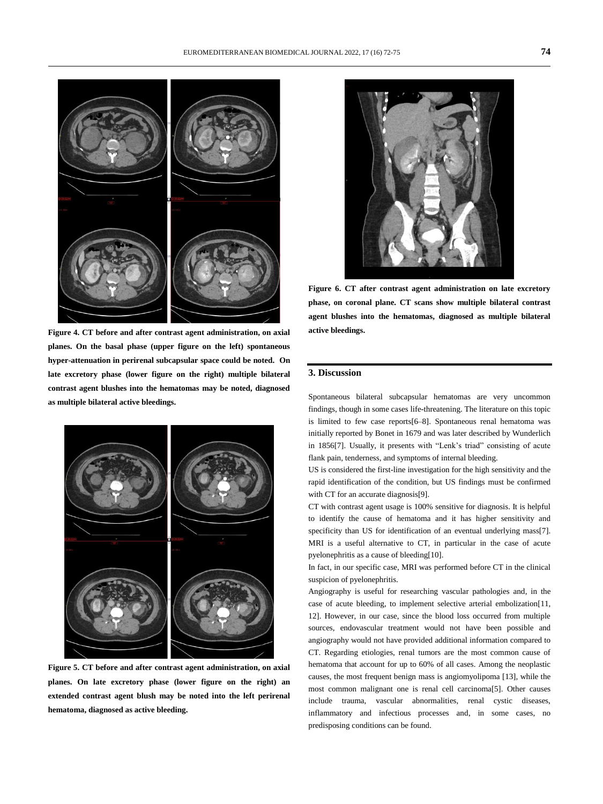

**Figure 4. CT before and after contrast agent administration, on axial planes. On the basal phase (upper figure on the left) spontaneous hyper-attenuation in perirenal subcapsular space could be noted. On late excretory phase (lower figure on the right) multiple bilateral contrast agent blushes into the hematomas may be noted, diagnosed as multiple bilateral active bleedings.**



**Figure 5. CT before and after contrast agent administration, on axial planes. On late excretory phase (lower figure on the right) an extended contrast agent blush may be noted into the left perirenal hematoma, diagnosed as active bleeding.**



**Figure 6. CT after contrast agent administration on late excretory phase, on coronal plane. CT scans show multiple bilateral contrast agent blushes into the hematomas, diagnosed as multiple bilateral active bleedings.**

#### **3. Discussion**

Spontaneous bilateral subcapsular hematomas are very uncommon findings, though in some cases life-threatening. The literature on this topic is limited to few case reports[6–8]. Spontaneous renal hematoma was initially reported by Bonet in 1679 and was later described by Wunderlich in 1856[7]. Usually, it presents with "Lenk's triad" consisting of acute flank pain, tenderness, and symptoms of internal bleeding.

US is considered the first-line investigation for the high sensitivity and the rapid identification of the condition, but US findings must be confirmed with CT for an accurate diagnosis[9].

CT with contrast agent usage is 100% sensitive for diagnosis. It is helpful to identify the cause of hematoma and it has higher sensitivity and specificity than US for identification of an eventual underlying mass[7]. MRI is a useful alternative to CT, in particular in the case of acute pyelonephritis as a cause of bleeding[10].

In fact, in our specific case, MRI was performed before CT in the clinical suspicion of pyelonephritis.

Angiography is useful for researching vascular pathologies and, in the case of acute bleeding, to implement selective arterial embolization[11, 12]. However, in our case, since the blood loss occurred from multiple sources, endovascular treatment would not have been possible and angiography would not have provided additional information compared to CT. Regarding etiologies, renal tumors are the most common cause of hematoma that account for up to 60% of all cases. Among the neoplastic causes, the most frequent benign mass is angiomyolipoma [13], while the most common malignant one is renal cell carcinoma[5]. Other causes include trauma, vascular abnormalities, renal cystic diseases, inflammatory and infectious processes and, in some cases, no predisposing conditions can be found.